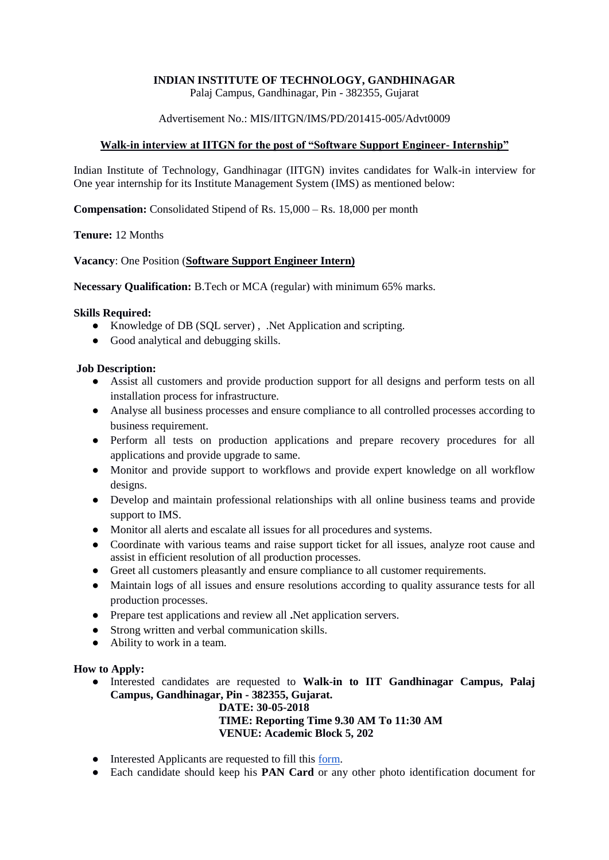# **INDIAN INSTITUTE OF TECHNOLOGY, GANDHINAGAR**

Palaj Campus, Gandhinagar, Pin - 382355, Gujarat

## Advertisement No.: MIS/IITGN/IMS/PD/201415-005/Advt0009

### **Walk-in interview at IITGN for the post of "Software Support Engineer- Internship"**

Indian Institute of Technology, Gandhinagar (IITGN) invites candidates for Walk-in interview for One year internship for its Institute Management System (IMS) as mentioned below:

**Compensation:** Consolidated Stipend of Rs. 15,000 – Rs. 18,000 per month

**Tenure:** 12 Months

#### **Vacancy**: One Position (**Software Support Engineer Intern)**

**Necessary Qualification:** B.Tech or MCA (regular) with minimum 65% marks.

#### **Skills Required:**

- Knowledge of DB (SQL server), .Net Application and scripting.
- Good analytical and debugging skills.

#### **Job Description:**

- Assist all customers and provide production support for all designs and perform tests on all installation process for infrastructure.
- Analyse all business processes and ensure compliance to all controlled processes according to business requirement.
- Perform all tests on production applications and prepare recovery procedures for all applications and provide upgrade to same.
- Monitor and provide support to workflows and provide expert knowledge on all workflow designs.
- Develop and maintain professional relationships with all online business teams and provide support to IMS.
- Monitor all alerts and escalate all issues for all procedures and systems.
- Coordinate with various teams and raise support ticket for all issues, analyze root cause and assist in efficient resolution of all production processes.
- Greet all customers pleasantly and ensure compliance to all customer requirements.
- Maintain logs of all issues and ensure resolutions according to quality assurance tests for all production processes.
- Prepare test applications and review all **.**Net application servers.
- Strong written and verbal communication skills.
- Ability to work in a team.

## **How to Apply:**

● Interested candidates are requested to **Walk-in to IIT Gandhinagar Campus, Palaj Campus, Gandhinagar, Pin - 382355, Gujarat.**

**DATE: 30-05-2018 TIME: Reporting Time 9.30 AM To 11:30 AM VENUE: Academic Block 5, 202**

- Interested Applicants are requested to fill this [form.](https://goo.gl/forms/fbXI1S3OeQj47A162)
- Each candidate should keep his **PAN Card** or any other photo identification document for